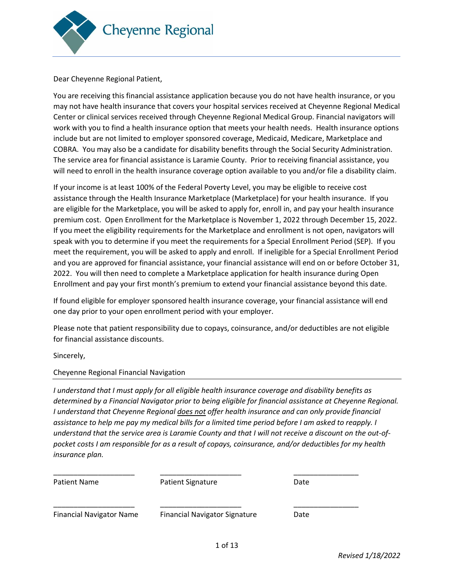

Dear Cheyenne Regional Patient,

You are receiving this financial assistance application because you do not have health insurance, or you may not have health insurance that covers your hospital services received at Cheyenne Regional Medical Center or clinical services received through Cheyenne Regional Medical Group. Financial navigators will work with you to find a health insurance option that meets your health needs. Health insurance options include but are not limited to employer sponsored coverage, Medicaid, Medicare, Marketplace and COBRA. You may also be a candidate for disability benefits through the Social Security Administration. The service area for financial assistance is Laramie County. Prior to receiving financial assistance, you will need to enroll in the health insurance coverage option available to you and/or file a disability claim.

If your income is at least 100% of the Federal Poverty Level, you may be eligible to receive cost assistance through the Health Insurance Marketplace (Marketplace) for your health insurance. If you are eligible for the Marketplace, you will be asked to apply for, enroll in, and pay your health insurance premium cost. Open Enrollment for the Marketplace is November 1, 2022 through December 15, 2022. If you meet the eligibility requirements for the Marketplace and enrollment is not open, navigators will speak with you to determine if you meet the requirements for a Special Enrollment Period (SEP). If you meet the requirement, you will be asked to apply and enroll. If ineligible for a Special Enrollment Period and you are approved for financial assistance, your financial assistance will end on or before October 31, 2022. You will then need to complete a Marketplace application for health insurance during Open Enrollment and pay your first month's premium to extend your financial assistance beyond this date.

If found eligible for employer sponsored health insurance coverage, your financial assistance will end one day prior to your open enrollment period with your employer.

Please note that patient responsibility due to copays, coinsurance, and/or deductibles are not eligible for financial assistance discounts.

Sincerely,

#### Cheyenne Regional Financial Navigation

*I understand that I must apply for all eligible health insurance coverage and disability benefits as determined by a Financial Navigator prior to being eligible for financial assistance at Cheyenne Regional. I understand that Cheyenne Regional does not offer health insurance and can only provide financial assistance to help me pay my medical bills for a limited time period before I am asked to reapply. I understand that the service area is Laramie County and that I will not receive a discount on the out-ofpocket costs I am responsible for as a result of copays, coinsurance, and/or deductibles for my health insurance plan.*

| <b>Patient Name</b>             | <b>Patient Signature</b>             | Date |
|---------------------------------|--------------------------------------|------|
| <b>Financial Navigator Name</b> | <b>Financial Navigator Signature</b> | Date |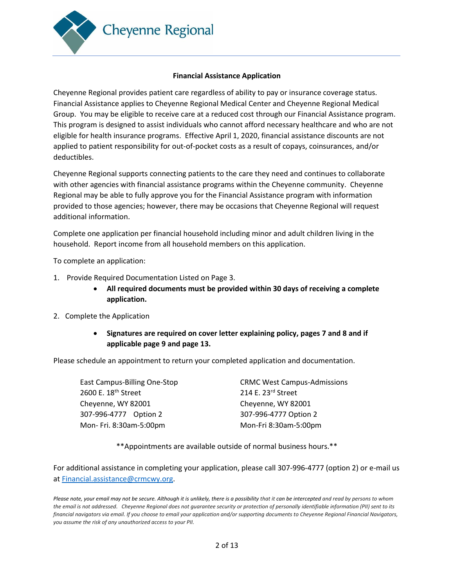

#### **Financial Assistance Application**

Cheyenne Regional provides patient care regardless of ability to pay or insurance coverage status. Financial Assistance applies to Cheyenne Regional Medical Center and Cheyenne Regional Medical Group. You may be eligible to receive care at a reduced cost through our Financial Assistance program. This program is designed to assist individuals who cannot afford necessary healthcare and who are not eligible for health insurance programs. Effective April 1, 2020, financial assistance discounts are not applied to patient responsibility for out-of-pocket costs as a result of copays, coinsurances, and/or deductibles.

Cheyenne Regional supports connecting patients to the care they need and continues to collaborate with other agencies with financial assistance programs within the Cheyenne community. Cheyenne Regional may be able to fully approve you for the Financial Assistance program with information provided to those agencies; however, there may be occasions that Cheyenne Regional will request additional information.

Complete one application per financial household including minor and adult children living in the household. Report income from all household members on this application.

To complete an application:

- 1. Provide Required Documentation Listed on Page 3.
	- **All required documents must be provided within 30 days of receiving a complete application.**
- 2. Complete the Application
	- **Signatures are required on cover letter explaining policy, pages 7 and 8 and if applicable page 9 and page 13.**

Please schedule an appointment to return your completed application and documentation.

| <b>CRMC West Campus-Admissions</b> |
|------------------------------------|
| 214 E. 23rd Street                 |
| Cheyenne, WY 82001                 |
| 307-996-4777 Option 2              |
| Mon-Fri 8:30am-5:00pm              |
|                                    |

\*\*Appointments are available outside of normal business hours.\*\*

For additional assistance in completing your application, please call 307-996-4777 (option 2) or e-mail us a[t Financial.assistance@crmcwy.org.](mailto:Financial.assistance@crmcwy.org)

Please note, your email may not be secure. Although it is unlikely, there is a possibility that it can be intercepted and read by persons to whom *the email is not addressed*. *Cheyenne Regional does not guarantee security or protection of personally identifiable information (PII) sent to its financial navigators via email. If you choose to email your application and/or supporting documents to Cheyenne Regional Financial Navigators, you assume the risk of any unauthorized access to your PII.*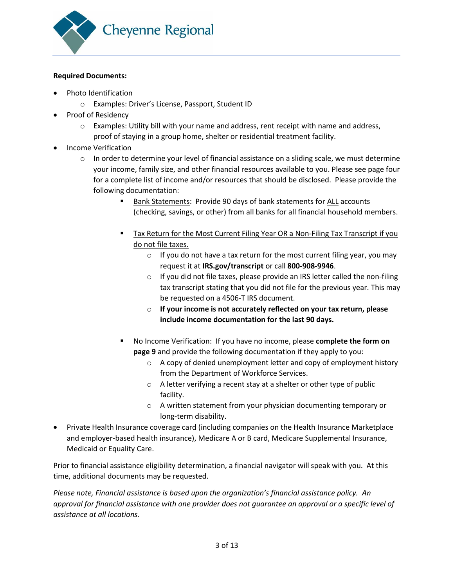

#### **Required Documents:**

- Photo Identification
	- o Examples: Driver's License, Passport, Student ID
- Proof of Residency
	- $\circ$  Examples: Utility bill with your name and address, rent receipt with name and address, proof of staying in a group home, shelter or residential treatment facility.
- Income Verification
	- $\circ$  In order to determine your level of financial assistance on a sliding scale, we must determine your income, family size, and other financial resources available to you. Please see page four for a complete list of income and/or resources that should be disclosed. Please provide the following documentation:
		- Bank Statements: Provide 90 days of bank statements for ALL accounts (checking, savings, or other) from all banks for all financial household members.
		- Tax Return for the Most Current Filing Year OR a Non-Filing Tax Transcript if you do not file taxes.
			- $\circ$  If you do not have a tax return for the most current filing year, you may request it at **IRS.gov/transcript** or call **800-908-9946**.
			- o If you did not file taxes, please provide an IRS letter called the non-filing tax transcript stating that you did not file for the previous year. This may be requested on a 4506-T IRS document.
			- o **If your income is not accurately reflected on your tax return, please include income documentation for the last 90 days.**
		- No Income Verification: If you have no income, please **complete the form on page 9** and provide the following documentation if they apply to you:
			- o A copy of denied unemployment letter and copy of employment history from the Department of Workforce Services.
			- o A letter verifying a recent stay at a shelter or other type of public facility.
			- o A written statement from your physician documenting temporary or long-term disability.
- Private Health Insurance coverage card (including companies on the Health Insurance Marketplace and employer-based health insurance), Medicare A or B card, Medicare Supplemental Insurance, Medicaid or Equality Care.

Prior to financial assistance eligibility determination, a financial navigator will speak with you. At this time, additional documents may be requested.

*Please note, Financial assistance is based upon the organization's financial assistance policy. An approval for financial assistance with one provider does not guarantee an approval or a specific level of assistance at all locations.*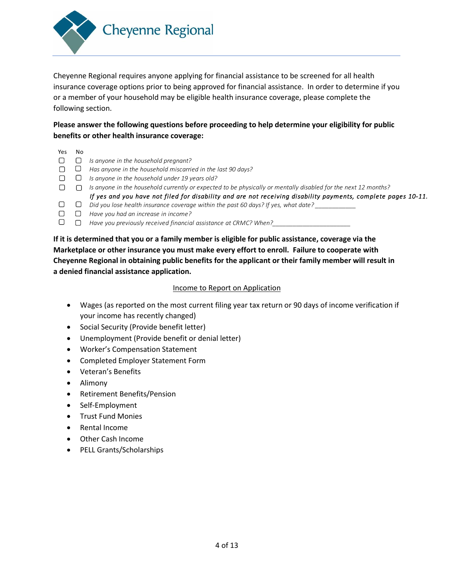

Cheyenne Regional requires anyone applying for financial assistance to be screened for all health insurance coverage options prior to being approved for financial assistance. In order to determine if you or a member of your household may be eligible health insurance coverage, please complete the following section.

## **Please answer the following questions before proceeding to help determine your eligibility for public benefits or other health insurance coverage:**

| Yes | No |                                                                                                                |
|-----|----|----------------------------------------------------------------------------------------------------------------|
|     |    | Is anyone in the household pregnant?                                                                           |
|     |    | Has anyone in the household miscarried in the last 90 days?                                                    |
|     |    | Is anyone in the household under 19 years old?                                                                 |
|     |    | Is anyone in the household currently or expected to be physically or mentally disabled for the next 12 months? |
|     |    | If yes and you have not filed for disability and are not receiving disability payments, complete pages 10-11.  |
|     |    | Did you lose health insurance coverage within the past 60 days? If yes, what date?                             |
|     |    | Have you had an increase in income?                                                                            |
|     |    | Have you previously received financial assistance at CRMC? When?                                               |

**If it is determined that you or a family member is eligible for public assistance, coverage via the Marketplace or other insurance you must make every effort to enroll. Failure to cooperate with Cheyenne Regional in obtaining public benefits for the applicant or their family member will result in a denied financial assistance application.** 

#### Income to Report on Application

- Wages (as reported on the most current filing year tax return or 90 days of income verification if your income has recently changed)
- Social Security (Provide benefit letter)
- Unemployment (Provide benefit or denial letter)
- Worker's Compensation Statement
- Completed Employer Statement Form
- Veteran's Benefits
- Alimony
- Retirement Benefits/Pension
- Self-Employment
- Trust Fund Monies
- Rental Income
- Other Cash Income
- PELL Grants/Scholarships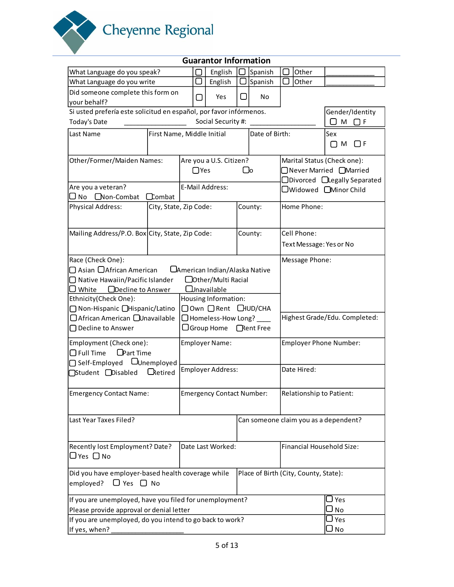

|                                                                    |                            |                 | <b>Guarantor Information</b>          |           |                   |             |                                       |                                       |
|--------------------------------------------------------------------|----------------------------|-----------------|---------------------------------------|-----------|-------------------|-------------|---------------------------------------|---------------------------------------|
| What Language do you speak?                                        |                            |                 | English                               |           | Spanish           |             | Other                                 |                                       |
| What Language do you write                                         |                            |                 | English                               |           | Spanish           |             | Other                                 |                                       |
| Did someone complete this form on                                  |                            |                 |                                       |           |                   |             |                                       |                                       |
| your behalf?                                                       |                            |                 | Yes                                   |           | No                |             |                                       |                                       |
| Si usted prefería este solicitud en español, por favor infórmenos. |                            |                 |                                       |           |                   |             |                                       | Gender/Identity                       |
| Today's Date                                                       |                            |                 | Social Security #:                    |           |                   |             |                                       | Ом Оғ                                 |
| Last Name                                                          | First Name, Middle Initial |                 |                                       |           | Date of Birth:    |             |                                       | Sex                                   |
|                                                                    |                            |                 |                                       |           |                   |             |                                       | $\Box F$<br>$\Box$ M                  |
| Other/Former/Maiden Names:                                         |                            |                 | Are you a U.S. Citizen?               |           |                   |             |                                       | Marital Status (Check one):           |
|                                                                    |                            | $\Box$ Yes      |                                       | $\bigcup$ |                   |             |                                       | □ Never Married □ Married             |
|                                                                    |                            |                 |                                       |           |                   |             |                                       | □Divorced □Legally Separated          |
| Are you a veteran?                                                 |                            | E-Mail Address: |                                       |           |                   |             |                                       | □Widowed □Minor Child                 |
| $\square$ No $\square$ Non-Combat                                  | $\Box$ combat              |                 |                                       |           |                   |             |                                       |                                       |
| <b>Physical Address:</b>                                           | City, State, Zip Code:     |                 |                                       |           | County:           | Home Phone: |                                       |                                       |
| Mailing Address/P.O. Box City, State, Zip Code:                    |                            |                 | Cell Phone:<br>County:                |           |                   |             |                                       |                                       |
|                                                                    | Text Message: Yes or No    |                 |                                       |           |                   |             |                                       |                                       |
|                                                                    |                            |                 |                                       |           |                   |             |                                       |                                       |
| Race (Check One):                                                  |                            |                 |                                       |           |                   |             | Message Phone:                        |                                       |
| $\Box$ Asian $\Box$ African American                               |                            |                 | <b>CAmerican Indian/Alaska Native</b> |           |                   |             |                                       |                                       |
| □ Native Hawaiin/Pacific Islander                                  |                            |                 | □ Other/Multi Racial                  |           |                   |             |                                       |                                       |
| ODecline to Answer<br>White                                        |                            |                 | <b>Lunavailable</b>                   |           |                   |             |                                       |                                       |
| Ethnicity(Check One):                                              |                            |                 | Housing Information:                  |           |                   |             |                                       |                                       |
| □ Non-Hispanic □Hispanic/Latino                                    |                            |                 | □ Own □ Rent □ HUD/CHA                |           |                   |             |                                       |                                       |
| □ African American □ Unavailable                                   |                            |                 | $\Box$ Homeless-How Long? _____       |           |                   |             |                                       | Highest Grade/Edu. Completed:         |
| $\Box$ Decline to Answer                                           |                            |                 | $\bigcup$ Group Home                  |           | <b>CRent Free</b> |             |                                       |                                       |
| Employment (Check one):                                            |                            |                 | <b>Employer Name:</b>                 |           |                   |             |                                       | Employer Phone Number:                |
| <b>O</b> Part Time<br>$\Box$ Full Time                             |                            |                 |                                       |           |                   |             |                                       |                                       |
| □ Self-Employed LUnemployed                                        |                            |                 |                                       |           |                   |             |                                       |                                       |
| □Student □Disabled                                                 | <b>L</b> Retired           |                 | Employer Address:                     |           |                   |             | Date Hired:                           |                                       |
|                                                                    |                            |                 |                                       |           |                   |             |                                       |                                       |
| <b>Emergency Contact Name:</b>                                     |                            |                 | <b>Emergency Contact Number:</b>      |           |                   |             |                                       | Relationship to Patient:              |
| Last Year Taxes Filed?                                             |                            |                 |                                       |           |                   |             |                                       | Can someone claim you as a dependent? |
|                                                                    |                            |                 |                                       |           |                   |             |                                       |                                       |
| Recently lost Employment? Date?                                    |                            |                 | Date Last Worked:                     |           |                   |             |                                       | Financial Household Size:             |
| $\Box$ Yes $\Box$ No                                               |                            |                 |                                       |           |                   |             |                                       |                                       |
| Did you have employer-based health coverage while                  |                            |                 |                                       |           |                   |             | Place of Birth (City, County, State): |                                       |
| $\Box$ Yes $\Box$ No<br>employed?                                  |                            |                 |                                       |           |                   |             |                                       |                                       |
| If you are unemployed, have you filed for unemployment?            |                            |                 |                                       |           |                   |             |                                       | J Yes                                 |
| Please provide approval or denial letter                           |                            |                 |                                       |           |                   |             |                                       | J No                                  |
| If you are unemployed, do you intend to go back to work?           |                            |                 |                                       |           |                   |             |                                       | J Yes                                 |
| If yes, when?                                                      |                            |                 |                                       |           |                   |             |                                       | J No                                  |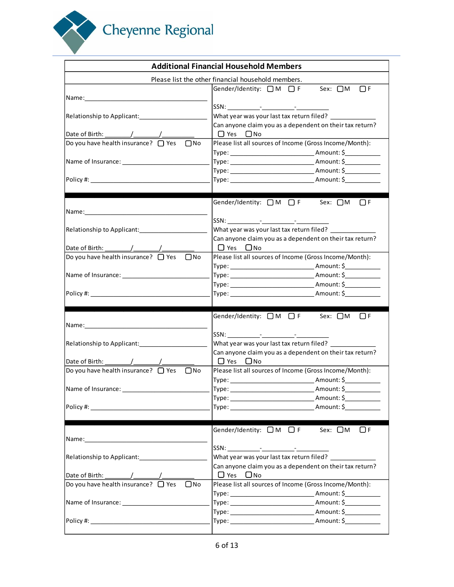

|                                                                                                                | <b>Additional Financial Household Members</b>                                                         |
|----------------------------------------------------------------------------------------------------------------|-------------------------------------------------------------------------------------------------------|
|                                                                                                                | Please list the other financial household members.                                                    |
| Name: when the contract of the contract of the contract of the contract of the contract of the contract of the | Gender/Identity: □M □F Sex: □M<br>$\Box$ F                                                            |
|                                                                                                                |                                                                                                       |
| Relationship to Applicant:                                                                                     | What year was your last tax return filed?                                                             |
|                                                                                                                | Can anyone claim you as a dependent on their tax return?                                              |
| Date of Birth: $\frac{1}{\sqrt{1-\frac{1}{2}}}\left[\frac{1}{\sqrt{1-\frac{1}{2}}}\right]$                     | □ Yes □ No                                                                                            |
| Do you have health insurance? $\Box$ Yes<br>$\Box$ No                                                          | Please list all sources of Income (Gross Income/Month):                                               |
|                                                                                                                |                                                                                                       |
|                                                                                                                |                                                                                                       |
|                                                                                                                |                                                                                                       |
|                                                                                                                |                                                                                                       |
|                                                                                                                | Gender/Identity: □M □ F Sex: □M<br>$\bigcap F$                                                        |
|                                                                                                                |                                                                                                       |
| Relationship to Applicant:<br><u>[</u> [11][12] Denotionship to Applicant:                                     | What year was your last tax return filed?                                                             |
|                                                                                                                | Can anyone claim you as a dependent on their tax return?                                              |
|                                                                                                                | $\Box$ Yes $\Box$ No                                                                                  |
| Do you have health insurance? $\Box$ Yes<br>$\square$ No                                                       | Please list all sources of Income (Gross Income/Month):                                               |
|                                                                                                                |                                                                                                       |
| Name of Insurance: Name of Insurance:                                                                          | Type: Amount: \$                                                                                      |
| Policy #:                                                                                                      |                                                                                                       |
|                                                                                                                |                                                                                                       |
|                                                                                                                | Gender/Identity: □M □F Sex: □M □F                                                                     |
|                                                                                                                |                                                                                                       |
|                                                                                                                |                                                                                                       |
|                                                                                                                | What year was your last tax return filed?<br>Can anyone claim you as a dependent on their tax return? |
|                                                                                                                | $\Box$ Yes $\Box$ No                                                                                  |
| Do you have health insurance? $\Box$ Yes<br>$\Box$ No                                                          | Please list all sources of Income (Gross Income/Month):                                               |
|                                                                                                                |                                                                                                       |
| Name of Insurance:                                                                                             |                                                                                                       |
|                                                                                                                |                                                                                                       |
|                                                                                                                |                                                                                                       |
|                                                                                                                | Gender/Identity: $\Box M$ $\Box F$ Sex: $\Box M$ $\Box F$                                             |
|                                                                                                                |                                                                                                       |
|                                                                                                                |                                                                                                       |
|                                                                                                                |                                                                                                       |
|                                                                                                                | Can anyone claim you as a dependent on their tax return?<br>O Yes ONo                                 |
| Do you have health insurance? $\Box$ Yes<br>$\Box$ No                                                          | Please list all sources of Income (Gross Income/Month):                                               |
|                                                                                                                |                                                                                                       |
| Name of Insurance: 1999 Manual Manual Manual Manual Manual Manual Manual Manual Manual Manual Manual Manual Ma |                                                                                                       |
|                                                                                                                |                                                                                                       |
| Policy #: New York Policy # 2014                                                                               |                                                                                                       |
|                                                                                                                |                                                                                                       |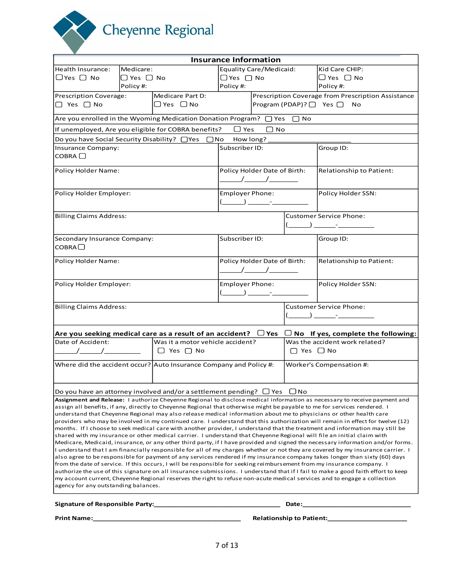Cheyenne Regional

|                                                                              |             |                                                                                                               | <b>Insurance Information</b>                                                                                                                                                                                                                                                                                                                                                                                                                                                                                                                                                         |                                                                                                                                                                                                                                                                                                                                                                                                                                                                                                                                                                             |                                 |                                                                                                                                                                                                                                                                                                                                                                                                                                                                                                                                                                                                                                                                                                                                                                                                                                                                                                                                                                                                                                                                                                                                                                                                                                                                                                                                                                                                                                                                                                                                                                         |
|------------------------------------------------------------------------------|-------------|---------------------------------------------------------------------------------------------------------------|--------------------------------------------------------------------------------------------------------------------------------------------------------------------------------------------------------------------------------------------------------------------------------------------------------------------------------------------------------------------------------------------------------------------------------------------------------------------------------------------------------------------------------------------------------------------------------------|-----------------------------------------------------------------------------------------------------------------------------------------------------------------------------------------------------------------------------------------------------------------------------------------------------------------------------------------------------------------------------------------------------------------------------------------------------------------------------------------------------------------------------------------------------------------------------|---------------------------------|-------------------------------------------------------------------------------------------------------------------------------------------------------------------------------------------------------------------------------------------------------------------------------------------------------------------------------------------------------------------------------------------------------------------------------------------------------------------------------------------------------------------------------------------------------------------------------------------------------------------------------------------------------------------------------------------------------------------------------------------------------------------------------------------------------------------------------------------------------------------------------------------------------------------------------------------------------------------------------------------------------------------------------------------------------------------------------------------------------------------------------------------------------------------------------------------------------------------------------------------------------------------------------------------------------------------------------------------------------------------------------------------------------------------------------------------------------------------------------------------------------------------------------------------------------------------------|
| Health Insurance:                                                            | Medicare:   |                                                                                                               |                                                                                                                                                                                                                                                                                                                                                                                                                                                                                                                                                                                      | Equality Care/Medicaid:                                                                                                                                                                                                                                                                                                                                                                                                                                                                                                                                                     |                                 | Kid Care CHIP:                                                                                                                                                                                                                                                                                                                                                                                                                                                                                                                                                                                                                                                                                                                                                                                                                                                                                                                                                                                                                                                                                                                                                                                                                                                                                                                                                                                                                                                                                                                                                          |
| $\Box$ Yes $\Box$ No                                                         | ∣□ Yes □ No |                                                                                                               | $\Box$ Yes $\Box$ No                                                                                                                                                                                                                                                                                                                                                                                                                                                                                                                                                                 |                                                                                                                                                                                                                                                                                                                                                                                                                                                                                                                                                                             |                                 | $\Box$ Yes $\Box$ No                                                                                                                                                                                                                                                                                                                                                                                                                                                                                                                                                                                                                                                                                                                                                                                                                                                                                                                                                                                                                                                                                                                                                                                                                                                                                                                                                                                                                                                                                                                                                    |
|                                                                              | Policy#:    |                                                                                                               | Policy #:                                                                                                                                                                                                                                                                                                                                                                                                                                                                                                                                                                            |                                                                                                                                                                                                                                                                                                                                                                                                                                                                                                                                                                             |                                 | Policy #:                                                                                                                                                                                                                                                                                                                                                                                                                                                                                                                                                                                                                                                                                                                                                                                                                                                                                                                                                                                                                                                                                                                                                                                                                                                                                                                                                                                                                                                                                                                                                               |
| Prescription Coverage:                                                       |             | Medicare Part D:                                                                                              |                                                                                                                                                                                                                                                                                                                                                                                                                                                                                                                                                                                      |                                                                                                                                                                                                                                                                                                                                                                                                                                                                                                                                                                             |                                 | Prescription Coverage from Prescription Assistance                                                                                                                                                                                                                                                                                                                                                                                                                                                                                                                                                                                                                                                                                                                                                                                                                                                                                                                                                                                                                                                                                                                                                                                                                                                                                                                                                                                                                                                                                                                      |
| $\Box$ Yes $\Box$ No                                                         |             | ∣□ Yes □ No                                                                                                   |                                                                                                                                                                                                                                                                                                                                                                                                                                                                                                                                                                                      |                                                                                                                                                                                                                                                                                                                                                                                                                                                                                                                                                                             |                                 | $\text{Program (PDAP)}?$ Yes $\Box$ No                                                                                                                                                                                                                                                                                                                                                                                                                                                                                                                                                                                                                                                                                                                                                                                                                                                                                                                                                                                                                                                                                                                                                                                                                                                                                                                                                                                                                                                                                                                                  |
|                                                                              |             | Are you enrolled in the Wyoming Medication Donation Program? $\Box$ Yes $\Box$ No                             |                                                                                                                                                                                                                                                                                                                                                                                                                                                                                                                                                                                      |                                                                                                                                                                                                                                                                                                                                                                                                                                                                                                                                                                             |                                 |                                                                                                                                                                                                                                                                                                                                                                                                                                                                                                                                                                                                                                                                                                                                                                                                                                                                                                                                                                                                                                                                                                                                                                                                                                                                                                                                                                                                                                                                                                                                                                         |
|                                                                              |             | If unemployed, Are you eligible for COBRA benefits?                                                           | $\bigcup$ Yes                                                                                                                                                                                                                                                                                                                                                                                                                                                                                                                                                                        | $\Box$ No                                                                                                                                                                                                                                                                                                                                                                                                                                                                                                                                                                   |                                 |                                                                                                                                                                                                                                                                                                                                                                                                                                                                                                                                                                                                                                                                                                                                                                                                                                                                                                                                                                                                                                                                                                                                                                                                                                                                                                                                                                                                                                                                                                                                                                         |
|                                                                              |             | Do you have Social Security Disability? □ Yes □ No                                                            | How long?                                                                                                                                                                                                                                                                                                                                                                                                                                                                                                                                                                            |                                                                                                                                                                                                                                                                                                                                                                                                                                                                                                                                                                             |                                 |                                                                                                                                                                                                                                                                                                                                                                                                                                                                                                                                                                                                                                                                                                                                                                                                                                                                                                                                                                                                                                                                                                                                                                                                                                                                                                                                                                                                                                                                                                                                                                         |
| Insurance Company:<br>COBRA                                                  |             | Subscriber ID:                                                                                                |                                                                                                                                                                                                                                                                                                                                                                                                                                                                                                                                                                                      |                                                                                                                                                                                                                                                                                                                                                                                                                                                                                                                                                                             | Group ID:                       |                                                                                                                                                                                                                                                                                                                                                                                                                                                                                                                                                                                                                                                                                                                                                                                                                                                                                                                                                                                                                                                                                                                                                                                                                                                                                                                                                                                                                                                                                                                                                                         |
| Policy Holder Name:                                                          |             | Policy Holder Date of Birth:<br>$\frac{1}{\sqrt{2\pi}}$                                                       |                                                                                                                                                                                                                                                                                                                                                                                                                                                                                                                                                                                      |                                                                                                                                                                                                                                                                                                                                                                                                                                                                                                                                                                             | Relationship to Patient:        |                                                                                                                                                                                                                                                                                                                                                                                                                                                                                                                                                                                                                                                                                                                                                                                                                                                                                                                                                                                                                                                                                                                                                                                                                                                                                                                                                                                                                                                                                                                                                                         |
| Policy Holder Employer:                                                      |             |                                                                                                               | <b>Employer Phone:</b>                                                                                                                                                                                                                                                                                                                                                                                                                                                                                                                                                               |                                                                                                                                                                                                                                                                                                                                                                                                                                                                                                                                                                             | Policy Holder SSN:              |                                                                                                                                                                                                                                                                                                                                                                                                                                                                                                                                                                                                                                                                                                                                                                                                                                                                                                                                                                                                                                                                                                                                                                                                                                                                                                                                                                                                                                                                                                                                                                         |
|                                                                              |             |                                                                                                               | $\left(\begin{array}{ccc} \begin{array}{ccc} \begin{array}{ccc} \end{array} & \begin{array}{ccc} \end{array} & \begin{array}{ccc} \end{array} & \begin{array}{ccc} \end{array} & \begin{array}{ccc} \end{array} & \begin{array}{ccc} \end{array} & \begin{array}{ccc} \end{array} & \begin{array}{ccc} \end{array} & \begin{array}{ccc} \end{array} & \begin{array}{ccc} \end{array} & \begin{array}{ccc} \end{array} & \begin{array}{ccc} \end{array} & \begin{array}{ccc} \end{array} & \begin{array}{ccc} \end{array} & \begin{array}{ccc} \end{array} & \begin{array}{ccc} \end$ |                                                                                                                                                                                                                                                                                                                                                                                                                                                                                                                                                                             |                                 |                                                                                                                                                                                                                                                                                                                                                                                                                                                                                                                                                                                                                                                                                                                                                                                                                                                                                                                                                                                                                                                                                                                                                                                                                                                                                                                                                                                                                                                                                                                                                                         |
| <b>Billing Claims Address:</b>                                               |             |                                                                                                               |                                                                                                                                                                                                                                                                                                                                                                                                                                                                                                                                                                                      |                                                                                                                                                                                                                                                                                                                                                                                                                                                                                                                                                                             |                                 | <b>Customer Service Phone:</b>                                                                                                                                                                                                                                                                                                                                                                                                                                                                                                                                                                                                                                                                                                                                                                                                                                                                                                                                                                                                                                                                                                                                                                                                                                                                                                                                                                                                                                                                                                                                          |
| Secondary Insurance Company:<br>COBRA                                        |             |                                                                                                               | Subscriber ID:                                                                                                                                                                                                                                                                                                                                                                                                                                                                                                                                                                       |                                                                                                                                                                                                                                                                                                                                                                                                                                                                                                                                                                             |                                 | Group ID:                                                                                                                                                                                                                                                                                                                                                                                                                                                                                                                                                                                                                                                                                                                                                                                                                                                                                                                                                                                                                                                                                                                                                                                                                                                                                                                                                                                                                                                                                                                                                               |
| Policy Holder Name:                                                          |             | Policy Holder Date of Birth:<br>$\begin{array}{c c} \begin{array}{c} \end{array} \end{array}$                 |                                                                                                                                                                                                                                                                                                                                                                                                                                                                                                                                                                                      |                                                                                                                                                                                                                                                                                                                                                                                                                                                                                                                                                                             | Relationship to Patient:        |                                                                                                                                                                                                                                                                                                                                                                                                                                                                                                                                                                                                                                                                                                                                                                                                                                                                                                                                                                                                                                                                                                                                                                                                                                                                                                                                                                                                                                                                                                                                                                         |
| Policy Holder Employer:                                                      |             |                                                                                                               | Employer Phone:                                                                                                                                                                                                                                                                                                                                                                                                                                                                                                                                                                      | $\begin{array}{ccc} \begin{array}{ccc} \hline \end{array} & \begin{array}{ccc} \hline \end{array} & \begin{array}{ccc} \hline \end{array} & \begin{array}{ccc} \hline \end{array} & \begin{array}{ccc} \hline \end{array} & \begin{array}{ccc} \hline \end{array} & \begin{array}{ccc} \hline \end{array} & \begin{array}{ccc} \hline \end{array} & \begin{array}{ccc} \hline \end{array} & \begin{array}{ccc} \hline \end{array} & \begin{array}{ccc} \hline \end{array} & \begin{array}{ccc} \hline \end{array} & \begin{array}{ccc} \hline \end{array} & \begin{array}{$ |                                 | Policy Holder SSN:                                                                                                                                                                                                                                                                                                                                                                                                                                                                                                                                                                                                                                                                                                                                                                                                                                                                                                                                                                                                                                                                                                                                                                                                                                                                                                                                                                                                                                                                                                                                                      |
| <b>Billing Claims Address:</b>                                               |             |                                                                                                               |                                                                                                                                                                                                                                                                                                                                                                                                                                                                                                                                                                                      |                                                                                                                                                                                                                                                                                                                                                                                                                                                                                                                                                                             |                                 | <b>Customer Service Phone:</b><br>$\left(\begin{array}{ccc} 1 & 0 & 0 \\ 0 & 0 & 0 \end{array}\right)$ and $\left(\begin{array}{ccc} 1 & 0 & 0 \\ 0 & 0 & 0 \end{array}\right)$ and $\left(\begin{array}{ccc} 1 & 0 & 0 \\ 0 & 0 & 0 \end{array}\right)$                                                                                                                                                                                                                                                                                                                                                                                                                                                                                                                                                                                                                                                                                                                                                                                                                                                                                                                                                                                                                                                                                                                                                                                                                                                                                                                |
|                                                                              |             |                                                                                                               |                                                                                                                                                                                                                                                                                                                                                                                                                                                                                                                                                                                      |                                                                                                                                                                                                                                                                                                                                                                                                                                                                                                                                                                             |                                 | Are you seeking medical care as a result of an accident? $\Box$ Yes $\Box$ No If yes, complete the following:                                                                                                                                                                                                                                                                                                                                                                                                                                                                                                                                                                                                                                                                                                                                                                                                                                                                                                                                                                                                                                                                                                                                                                                                                                                                                                                                                                                                                                                           |
| Date of Accident:                                                            |             | Was it a motor vehicle accident?                                                                              |                                                                                                                                                                                                                                                                                                                                                                                                                                                                                                                                                                                      |                                                                                                                                                                                                                                                                                                                                                                                                                                                                                                                                                                             |                                 | Was the accident work related?                                                                                                                                                                                                                                                                                                                                                                                                                                                                                                                                                                                                                                                                                                                                                                                                                                                                                                                                                                                                                                                                                                                                                                                                                                                                                                                                                                                                                                                                                                                                          |
| $\frac{1}{\sqrt{1-\frac{1}{2}}}\left( \frac{1}{\sqrt{1-\frac{1}{2}}}\right)$ |             | $\Box$ Yes $\Box$ No                                                                                          |                                                                                                                                                                                                                                                                                                                                                                                                                                                                                                                                                                                      |                                                                                                                                                                                                                                                                                                                                                                                                                                                                                                                                                                             | $\Box$ Yes $\Box$ No            |                                                                                                                                                                                                                                                                                                                                                                                                                                                                                                                                                                                                                                                                                                                                                                                                                                                                                                                                                                                                                                                                                                                                                                                                                                                                                                                                                                                                                                                                                                                                                                         |
|                                                                              |             | Where did the accident occur? Auto Insurance Company and Policy #:                                            |                                                                                                                                                                                                                                                                                                                                                                                                                                                                                                                                                                                      |                                                                                                                                                                                                                                                                                                                                                                                                                                                                                                                                                                             |                                 | Worker's Compensation #:                                                                                                                                                                                                                                                                                                                                                                                                                                                                                                                                                                                                                                                                                                                                                                                                                                                                                                                                                                                                                                                                                                                                                                                                                                                                                                                                                                                                                                                                                                                                                |
|                                                                              |             | Do you have an attorney involved and/or a settlement pending? $\Box$ Yes $\Box$ No                            |                                                                                                                                                                                                                                                                                                                                                                                                                                                                                                                                                                                      |                                                                                                                                                                                                                                                                                                                                                                                                                                                                                                                                                                             |                                 |                                                                                                                                                                                                                                                                                                                                                                                                                                                                                                                                                                                                                                                                                                                                                                                                                                                                                                                                                                                                                                                                                                                                                                                                                                                                                                                                                                                                                                                                                                                                                                         |
| agency for any outstanding balances.                                         |             |                                                                                                               |                                                                                                                                                                                                                                                                                                                                                                                                                                                                                                                                                                                      |                                                                                                                                                                                                                                                                                                                                                                                                                                                                                                                                                                             |                                 | Assignment and Release: I authorize Cheyenne Regional to disclose medical information as necessary to receive payment and<br>assign all benefits, if any, directly to Cheyenne Regional that otherwise might be payable to me for services rendered. I<br>understand that Cheyenne Regional may also release medical information about me to physicians or other health care<br>providers who may be involved in my continued care. I understand that this authorization will remain in effect for twelve (12)<br>months. If I choose to seek medical care with another provider, I understand that the treatment and information may still be<br>shared with my insurance or other medical carrier. I understand that Cheyenne Regional will file an initial claim with<br>Medicare, Medicaid, insurance, or any other third party, if I have provided and signed the necessary information and/or forms.<br>I understand that I am financially responsible for all of my charges whether or not they are covered by my insurance carrier. I<br>also agree to be responsible for payment of any services rendered if my insurance company takes longer than sixty (60) days<br>from the date of service. If this occurs, I will be responsible for seeking reimbursement from my insurance company. I<br>authorize the use of this signature on all insurance submissions. I understand that if I fail to make a good faith effort to keep<br>my account current, Cheyenne Regional reserves the right to refuse non-acute medical services and to engage a collection |
|                                                                              |             | Signature of Responsible Party: 2008 2014 12:00 12:00 12:00 12:00 12:00 12:00 12:00 12:00 12:00 12:00 12:00 1 |                                                                                                                                                                                                                                                                                                                                                                                                                                                                                                                                                                                      |                                                                                                                                                                                                                                                                                                                                                                                                                                                                                                                                                                             | <b>Date:</b>                    |                                                                                                                                                                                                                                                                                                                                                                                                                                                                                                                                                                                                                                                                                                                                                                                                                                                                                                                                                                                                                                                                                                                                                                                                                                                                                                                                                                                                                                                                                                                                                                         |
| <b>Print Name:</b>                                                           |             |                                                                                                               |                                                                                                                                                                                                                                                                                                                                                                                                                                                                                                                                                                                      |                                                                                                                                                                                                                                                                                                                                                                                                                                                                                                                                                                             | <b>Relationship to Patient:</b> |                                                                                                                                                                                                                                                                                                                                                                                                                                                                                                                                                                                                                                                                                                                                                                                                                                                                                                                                                                                                                                                                                                                                                                                                                                                                                                                                                                                                                                                                                                                                                                         |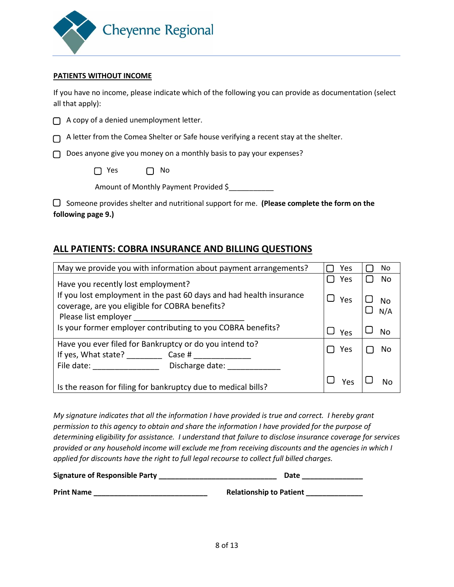

#### **PATIENTS WITHOUT INCOME**

If you have no income, please indicate which of the following you can provide as documentation (select all that apply):

|  | $\Box$ A copy of a denied unemployment letter. |  |  |  |  |
|--|------------------------------------------------|--|--|--|--|
|--|------------------------------------------------|--|--|--|--|

 $\bigcap$  A letter from the Comea Shelter or Safe house verifying a recent stay at the shelter.

D Does anyone give you money on a monthly basis to pay your expenses?

 $\Box$  Yes  $\Box$  No

Amount of Monthly Payment Provided \$\_\_\_\_\_\_\_\_\_\_\_

 Someone provides shelter and nutritional support for me. **(Please complete the form on the following page 9.)**

# **ALL PATIENTS: COBRA INSURANCE AND BILLING QUESTIONS**

| May we provide you with information about payment arrangements?                                                                               | Yes | No.       |
|-----------------------------------------------------------------------------------------------------------------------------------------------|-----|-----------|
| Have you recently lost employment?                                                                                                            | Yes | No        |
| If you lost employment in the past 60 days and had health insurance<br>coverage, are you eligible for COBRA benefits?<br>Please list employer | Yes | <b>No</b> |
| Is your former employer contributing to you COBRA benefits?                                                                                   | Yes | No        |
| Have you ever filed for Bankruptcy or do you intend to?                                                                                       | Yes | No        |
| If yes, What state? Case #                                                                                                                    |     |           |
| File date: The contract of the contract of the contract of the contract of the contract of the contract of the<br>Discharge date:             |     |           |
| Is the reason for filing for bankruptcy due to medical bills?                                                                                 | Yes |           |

*My signature indicates that all the information I have provided is true and correct. I hereby grant permission to this agency to obtain and share the information I have provided for the purpose of determining eligibility for assistance. I understand that failure to disclose insurance coverage for services provided or any household income will exclude me from receiving discounts and the agencies in which I applied for discounts have the right to full legal recourse to collect full billed charges.* 

| Signature of Responsible Party | Date                           |
|--------------------------------|--------------------------------|
| <b>Print Name</b>              | <b>Relationship to Patient</b> |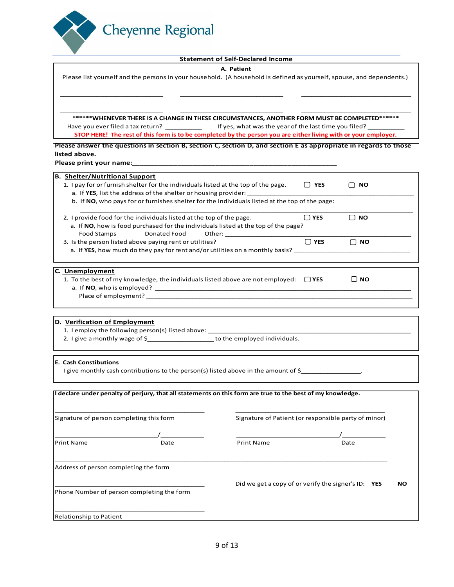

#### **Statement of Self-Declared Income**

#### **A. Patient**

| Please list yourself and the persons in your household. (A household is defined as yourself, spouse, and dependents.) |
|-----------------------------------------------------------------------------------------------------------------------|
|                                                                                                                       |

\_\_\_\_\_\_\_\_\_\_\_\_\_\_\_\_\_\_\_\_\_\_\_\_\_\_\_\_\_\_\_ \_\_\_\_\_\_\_\_\_\_\_\_\_\_\_\_\_\_\_\_\_\_\_\_\_\_\_\_\_\_\_ \_\_\_\_\_\_\_\_\_\_\_\_\_\_\_\_\_\_\_\_\_\_\_\_\_\_\_\_\_\_\_\_\_

\_\_\_\_\_\_\_\_\_\_\_\_\_\_\_\_\_\_\_\_\_\_\_\_\_\_\_\_\_\_\_ \_\_\_\_\_\_\_\_\_\_\_\_\_\_\_\_\_\_\_\_\_\_\_\_\_\_\_\_\_\_\_ \_\_\_\_\_\_\_\_\_\_\_\_\_\_\_\_\_\_\_\_\_\_\_\_\_\_\_\_\_\_\_\_\_ **\*\*\*\*\*\*WHENEVER THERE IS A CHANGE IN THESE CIRCUMSTANCES, ANOTHER FORM MUST BE COMPLETED\*\*\*\*\*\*** Have you ever filed a tax return? \_\_\_\_\_\_\_\_\_\_\_\_\_\_\_\_\_ If yes, what was the year of the last time you filed? \_\_\_

**STOP HERE! The rest of this form is to be completed by the person you are either living with or your employer.**

**Please answer the questions in section B, section C, section D, and section E as appropriate in regards to those listed above.** 

Please print your name:

| <b>B. Shelter/Nutritional Support</b>                                                                            |  |
|------------------------------------------------------------------------------------------------------------------|--|
| 1. I pay for or furnish shelter for the individuals listed at the top of the page.<br>I P YES<br><b>NO</b>       |  |
|                                                                                                                  |  |
| b. If NO, who pays for or furnishes shelter for the individuals listed at the top of the page:                   |  |
|                                                                                                                  |  |
| 2. I provide food for the individuals listed at the top of the page.<br>$\Box$ YES<br><b>NO</b>                  |  |
| a. If NO, how is food purchased for the individuals listed at the top of the page?                               |  |
| <b>Donated Food</b><br>Food Stamps The Reader                                                                    |  |
| $\Box$ YES<br>3. Is the person listed above paying rent or utilities?<br><b>NO</b><br>∩                          |  |
| a. If YES, how much do they pay for rent and/or utilities on a monthly basis?                                    |  |
|                                                                                                                  |  |
|                                                                                                                  |  |
| C. Unemployment                                                                                                  |  |
| 1. To the best of my knowledge, the individuals listed above are not employed: $\Box$ YES<br><b>NO</b><br>$\Box$ |  |
|                                                                                                                  |  |
|                                                                                                                  |  |
|                                                                                                                  |  |
|                                                                                                                  |  |
| D. Verification of Employment                                                                                    |  |
| 1. I employ the following person(s) listed above: _______________________________                                |  |
| 2. I give a monthly wage of \$_________________________to the employed individuals.                              |  |
|                                                                                                                  |  |
|                                                                                                                  |  |
| <b>E. Cash Constibutions</b>                                                                                     |  |

I give monthly cash contributions to the person(s) listed above in the amount of \$\_\_\_\_\_\_\_\_\_\_\_\_\_\_\_\_\_\_\_\_\_\_\_\_\_\_\_\_

| Signature of person completing this form |                                            | Signature of Patient (or responsible party of minor) |                                                       |  |
|------------------------------------------|--------------------------------------------|------------------------------------------------------|-------------------------------------------------------|--|
|                                          |                                            |                                                      |                                                       |  |
| <b>Print Name</b>                        | Date                                       | <b>Print Name</b>                                    | Date                                                  |  |
| Address of person completing the form    |                                            |                                                      |                                                       |  |
|                                          |                                            |                                                      | Did we get a copy of or verify the signer's $ID:$ YES |  |
|                                          | Phone Number of person completing the form |                                                      |                                                       |  |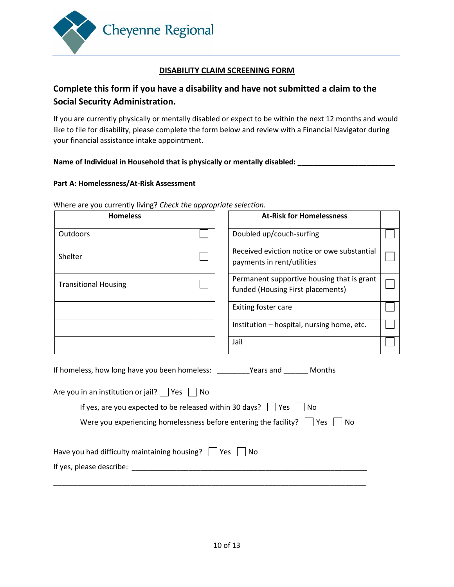

## **DISABILITY CLAIM SCREENING FORM**

# **Complete this form if you have a disability and have not submitted a claim to the Social Security Administration.**

If you are currently physically or mentally disabled or expect to be within the next 12 months and would like to file for disability, please complete the form below and review with a Financial Navigator during your financial assistance intake appointment.

#### Name of Individual in Household that is physically or mentally disabled: \_\_\_\_\_\_

#### **Part A: Homelessness/At-Risk Assessment**

| <b>Homeless</b>                                                                                                                                                                                                                                   |  | <b>At-Risk for Homelessness</b>                                                 |  |  |
|---------------------------------------------------------------------------------------------------------------------------------------------------------------------------------------------------------------------------------------------------|--|---------------------------------------------------------------------------------|--|--|
| Outdoors                                                                                                                                                                                                                                          |  | Doubled up/couch-surfing                                                        |  |  |
| Shelter                                                                                                                                                                                                                                           |  | Received eviction notice or owe substantial<br>payments in rent/utilities       |  |  |
| <b>Transitional Housing</b>                                                                                                                                                                                                                       |  | Permanent supportive housing that is grant<br>funded (Housing First placements) |  |  |
|                                                                                                                                                                                                                                                   |  | Exiting foster care                                                             |  |  |
|                                                                                                                                                                                                                                                   |  | Institution - hospital, nursing home, etc.                                      |  |  |
|                                                                                                                                                                                                                                                   |  | Jail                                                                            |  |  |
| Are you in an institution or jail? $\Box$ Yes $\Box$ No<br>If yes, are you expected to be released within 30 days? $\vert$   Yes     No<br>Were you experiencing homelessness before entering the facility? $\vert \vert$ Yes $\vert \vert$<br>No |  |                                                                                 |  |  |
| Have you had difficulty maintaining housing? $\Box$ Yes                                                                                                                                                                                           |  | No                                                                              |  |  |
| If yes, please describe:                                                                                                                                                                                                                          |  |                                                                                 |  |  |

Where are you currently living? *Check the appropriate selection.*

\_\_\_\_\_\_\_\_\_\_\_\_\_\_\_\_\_\_\_\_\_\_\_\_\_\_\_\_\_\_\_\_\_\_\_\_\_\_\_\_\_\_\_\_\_\_\_\_\_\_\_\_\_\_\_\_\_\_\_\_\_\_\_\_\_\_\_\_\_\_\_\_\_\_\_\_\_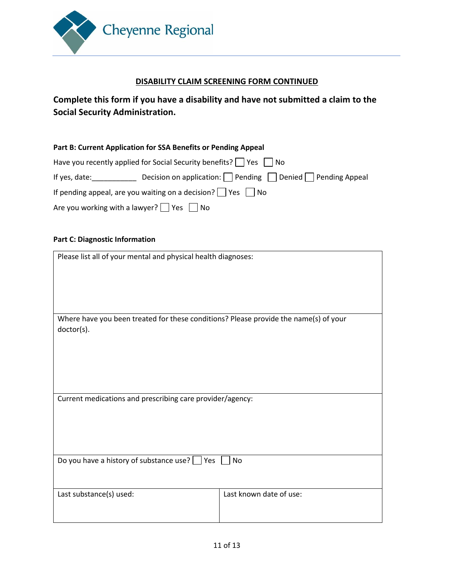

### **DISABILITY CLAIM SCREENING FORM CONTINUED**

# **Complete this form if you have a disability and have not submitted a claim to the Social Security Administration.**

| Part B: Current Application for SSA Benefits or Pending Appeal                                                                                                                                                                |                                                        |  |  |  |
|-------------------------------------------------------------------------------------------------------------------------------------------------------------------------------------------------------------------------------|--------------------------------------------------------|--|--|--|
| Have you recently applied for Social Security benefits? $\vert$   Yes     No                                                                                                                                                  |                                                        |  |  |  |
| If yes, date: The same of the same of the same of the same of the same of the same of the same of the same of the same of the same of the same of the same of the same of the same of the same of the same of the same of the | Decision on application: Pending Denied Pending Appeal |  |  |  |
| If pending appeal, are you waiting on a decision? $\Box$ Yes $\Box$ No                                                                                                                                                        |                                                        |  |  |  |
| Are you working with a lawyer? $\Box$ Yes $\Box$ No                                                                                                                                                                           |                                                        |  |  |  |

#### **Part C: Diagnostic Information**

| Please list all of your mental and physical health diagnoses:                                      |                         |  |  |
|----------------------------------------------------------------------------------------------------|-------------------------|--|--|
|                                                                                                    |                         |  |  |
|                                                                                                    |                         |  |  |
| Where have you been treated for these conditions? Please provide the name(s) of your<br>doctor(s). |                         |  |  |
|                                                                                                    |                         |  |  |
|                                                                                                    |                         |  |  |
|                                                                                                    |                         |  |  |
|                                                                                                    |                         |  |  |
| Current medications and prescribing care provider/agency:                                          |                         |  |  |
|                                                                                                    |                         |  |  |
|                                                                                                    |                         |  |  |
|                                                                                                    |                         |  |  |
| Do you have a history of substance use?<br>No<br>Yes                                               |                         |  |  |
|                                                                                                    |                         |  |  |
| Last substance(s) used:                                                                            | Last known date of use: |  |  |
|                                                                                                    |                         |  |  |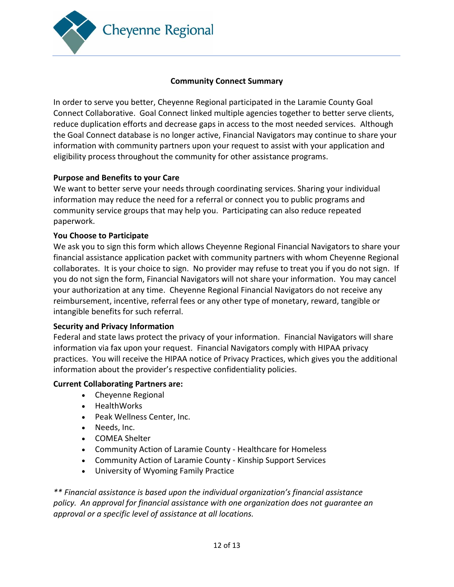

# **Community Connect Summary**

In order to serve you better, Cheyenne Regional participated in the Laramie County Goal Connect Collaborative. Goal Connect linked multiple agencies together to better serve clients, reduce duplication efforts and decrease gaps in access to the most needed services. Although the Goal Connect database is no longer active, Financial Navigators may continue to share your information with community partners upon your request to assist with your application and eligibility process throughout the community for other assistance programs.

# **Purpose and Benefits to your Care**

We want to better serve your needs through coordinating services. Sharing your individual information may reduce the need for a referral or connect you to public programs and community service groups that may help you. Participating can also reduce repeated paperwork.

## **You Choose to Participate**

We ask you to sign this form which allows Cheyenne Regional Financial Navigators to share your financial assistance application packet with community partners with whom Cheyenne Regional collaborates. It is your choice to sign. No provider may refuse to treat you if you do not sign. If you do not sign the form, Financial Navigators will not share your information. You may cancel your authorization at any time. Cheyenne Regional Financial Navigators do not receive any reimbursement, incentive, referral fees or any other type of monetary, reward, tangible or intangible benefits for such referral.

# **Security and Privacy Information**

Federal and state laws protect the privacy of your information. Financial Navigators will share information via fax upon your request. Financial Navigators comply with HIPAA privacy practices. You will receive the HIPAA notice of Privacy Practices, which gives you the additional information about the provider's respective confidentiality policies.

### **Current Collaborating Partners are:**

- Cheyenne Regional
- HealthWorks
- Peak Wellness Center, Inc.
- Needs, Inc.
- COMEA Shelter
- Community Action of Laramie County Healthcare for Homeless
- Community Action of Laramie County Kinship Support Services
- University of Wyoming Family Practice

*\*\* Financial assistance is based upon the individual organization's financial assistance policy. An approval for financial assistance with one organization does not guarantee an approval or a specific level of assistance at all locations.*